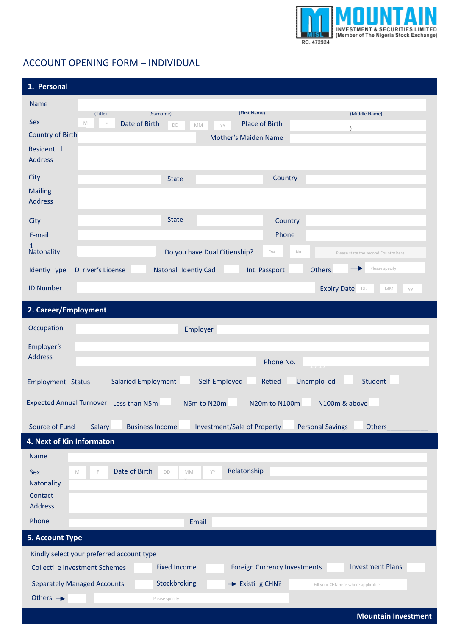

## ACCOUNT OPENING FORM – INDIVIDUAL

| 1. Personal                                                                                                                                         |  |  |  |  |
|-----------------------------------------------------------------------------------------------------------------------------------------------------|--|--|--|--|
| <b>Name</b>                                                                                                                                         |  |  |  |  |
| (First Name)<br>(Surname)<br>(Middle Name)<br>(Title)<br><b>Sex</b><br>Date of Birth<br><b>Place of Birth</b><br>$\mathbb M$<br>F<br>DD<br>MM<br>YY |  |  |  |  |
| $\lambda$<br><b>Country of Birth</b><br><b>Mother's Maiden Name</b>                                                                                 |  |  |  |  |
| Residenti I<br><b>Address</b>                                                                                                                       |  |  |  |  |
| City<br>Country<br><b>State</b>                                                                                                                     |  |  |  |  |
| <b>Mailing</b><br><b>Address</b>                                                                                                                    |  |  |  |  |
| <b>State</b><br>Country<br>City                                                                                                                     |  |  |  |  |
| Phone<br>E-mail                                                                                                                                     |  |  |  |  |
| Natonality<br>Do you have Dual Citienship?<br>Yes<br>$\mathbb{N}\circ$<br>Please state the second Country here                                      |  |  |  |  |
| Please specify<br>Natonal Identiy Cad<br>Int. Passport<br>Others<br>Identiy ype<br>D river's License                                                |  |  |  |  |
| <b>ID Number</b><br><b>Expiry Date</b><br>DD<br>MM<br>YY                                                                                            |  |  |  |  |
| 2. Career/Employment                                                                                                                                |  |  |  |  |
| Occupation<br>Employer                                                                                                                              |  |  |  |  |
| Employer's                                                                                                                                          |  |  |  |  |
| <b>Address</b><br>Phone No.<br><b>Contract</b>                                                                                                      |  |  |  |  |
| Unemplo ed<br>Self-Employed<br>Student<br><b>Salaried Employment</b><br>Retied<br>Employment Status                                                 |  |  |  |  |
| Expected Annual Turnover Less than N5m<br>N100m & above<br>N5m to N20m<br>N20m to N100m                                                             |  |  |  |  |
| Source of Fund<br>Salary<br><b>Business Income</b><br><b>Investment/Sale of Property</b><br><b>Personal Savings</b><br>Others                       |  |  |  |  |
| 4. Next of Kin Informaton                                                                                                                           |  |  |  |  |
| <b>Name</b>                                                                                                                                         |  |  |  |  |
| Relatonship<br>Date of Birth<br>YY<br>DD<br>Sex<br>M<br>MM<br>F                                                                                     |  |  |  |  |
| Natonality<br>Contact                                                                                                                               |  |  |  |  |
| <b>Address</b>                                                                                                                                      |  |  |  |  |
| Phone<br>Email                                                                                                                                      |  |  |  |  |
| <b>5. Account Type</b>                                                                                                                              |  |  |  |  |
| Kindly select your preferred account type                                                                                                           |  |  |  |  |
| <b>Investment Plans</b><br><b>Fixed Income</b><br><b>Foreign Currency Investments</b><br>Collecti e Investment Schemes                              |  |  |  |  |
| Stockbroking<br><b>Separately Managed Accounts</b><br>$\rightarrow$ Existi g CHN?<br>Fill your CHN here where applicable                            |  |  |  |  |
| Others $\rightarrow$<br>Please specify                                                                                                              |  |  |  |  |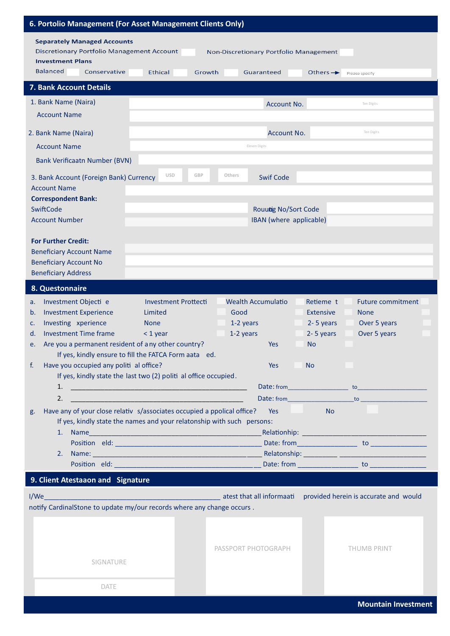| 6. Portolio Management (For Asset Management Clients Only)                                                        |                             |                                                 |                                 |                                       |
|-------------------------------------------------------------------------------------------------------------------|-----------------------------|-------------------------------------------------|---------------------------------|---------------------------------------|
| <b>Separately Managed Accounts</b><br><b>Discretionary Portfolio Management Account</b>                           |                             | Non-Discretionary Portfolio Management          |                                 |                                       |
| <b>Investment Plans</b><br><b>Balanced</b><br>Conservative                                                        | Ethical<br>Growth           | Guaranteed                                      | Others $\rightarrow$            | Please specify                        |
| 7. Bank Account Details                                                                                           |                             |                                                 |                                 |                                       |
| 1. Bank Name (Naira)                                                                                              |                             | Account No.                                     |                                 | Ten Digits                            |
| <b>Account Name</b>                                                                                               |                             |                                                 |                                 |                                       |
| 2. Bank Name (Naira)                                                                                              |                             | Account No.                                     |                                 | Ten Digits                            |
| <b>Account Name</b>                                                                                               |                             | Eleven Digits                                   |                                 |                                       |
| <b>Bank Verificaatn Number (BVN)</b>                                                                              |                             |                                                 |                                 |                                       |
| 3. Bank Account (Foreign Bank) Currency<br><b>Account Name</b>                                                    | <b>USD</b><br>GBP           | Others<br><b>Swif Code</b>                      |                                 |                                       |
| <b>Correspondent Bank:</b>                                                                                        |                             |                                                 |                                 |                                       |
| SwiftCode<br><b>Account Number</b>                                                                                |                             | Rouutig No/Sort Code<br>IBAN (where applicable) |                                 |                                       |
|                                                                                                                   |                             |                                                 |                                 |                                       |
| <b>For Further Credit:</b>                                                                                        |                             |                                                 |                                 |                                       |
| <b>Beneficiary Account Name</b><br><b>Beneficiary Account No</b>                                                  |                             |                                                 |                                 |                                       |
| <b>Beneficiary Address</b>                                                                                        |                             |                                                 |                                 |                                       |
| 8. Questonnaire                                                                                                   |                             |                                                 |                                 |                                       |
| Investment Objecti e<br>a.                                                                                        | <b>Investment Prottecti</b> | <b>Wealth Accumulatio</b>                       | Retieme t                       | <b>Future commitment</b>              |
| <b>Investment Experience</b><br>b.<br>Investing xperience<br>c.                                                   | Limited<br><b>None</b>      | Good<br>1-2 years                               | <b>Extensive</b><br>2-5 years   | <b>None</b><br>Over 5 years           |
| <b>Investment Time frame</b><br>d.                                                                                | $<$ 1 year                  | 1-2 years                                       | 2-5 years                       | Over 5 years                          |
| Are you a permanent resident of any other country?<br>e.                                                          |                             | <b>Yes</b>                                      | <b>No</b>                       |                                       |
| If yes, kindly ensure to fill the FATCA Form aata ed.                                                             |                             |                                                 |                                 |                                       |
| Have you occupied any politi al office?<br>f.<br>If yes, kindly state the last two (2) politi al office occupied. |                             | Yes                                             | <b>No</b>                       |                                       |
| 1.                                                                                                                |                             |                                                 |                                 |                                       |
| 2.                                                                                                                |                             |                                                 |                                 |                                       |
| Have any of your close relativ s/associates occupied a ppolical office?<br>g.                                     |                             | Yes                                             | and the control of<br><b>No</b> |                                       |
| If yes, kindly state the names and your relatonship with such persons:                                            |                             |                                                 |                                 |                                       |
|                                                                                                                   |                             |                                                 |                                 |                                       |
|                                                                                                                   |                             |                                                 |                                 |                                       |
|                                                                                                                   |                             |                                                 |                                 |                                       |
| 9. Client Atestaaon and Signature                                                                                 |                             |                                                 |                                 |                                       |
| I/We                                                                                                              |                             | atest that all informaati                       |                                 | provided herein is accurate and would |
| notify CardinalStone to update my/our records where any change occurs.                                            |                             |                                                 |                                 |                                       |
|                                                                                                                   |                             |                                                 |                                 |                                       |
|                                                                                                                   |                             | PASSPORT PHOTOGRAPH                             |                                 | <b>THUMB PRINT</b>                    |
| SIGNATURE                                                                                                         |                             |                                                 |                                 |                                       |
|                                                                                                                   |                             |                                                 |                                 |                                       |
| DATE                                                                                                              |                             |                                                 |                                 |                                       |
|                                                                                                                   |                             |                                                 |                                 | <b>Mountain Investment</b>            |
|                                                                                                                   |                             |                                                 |                                 |                                       |